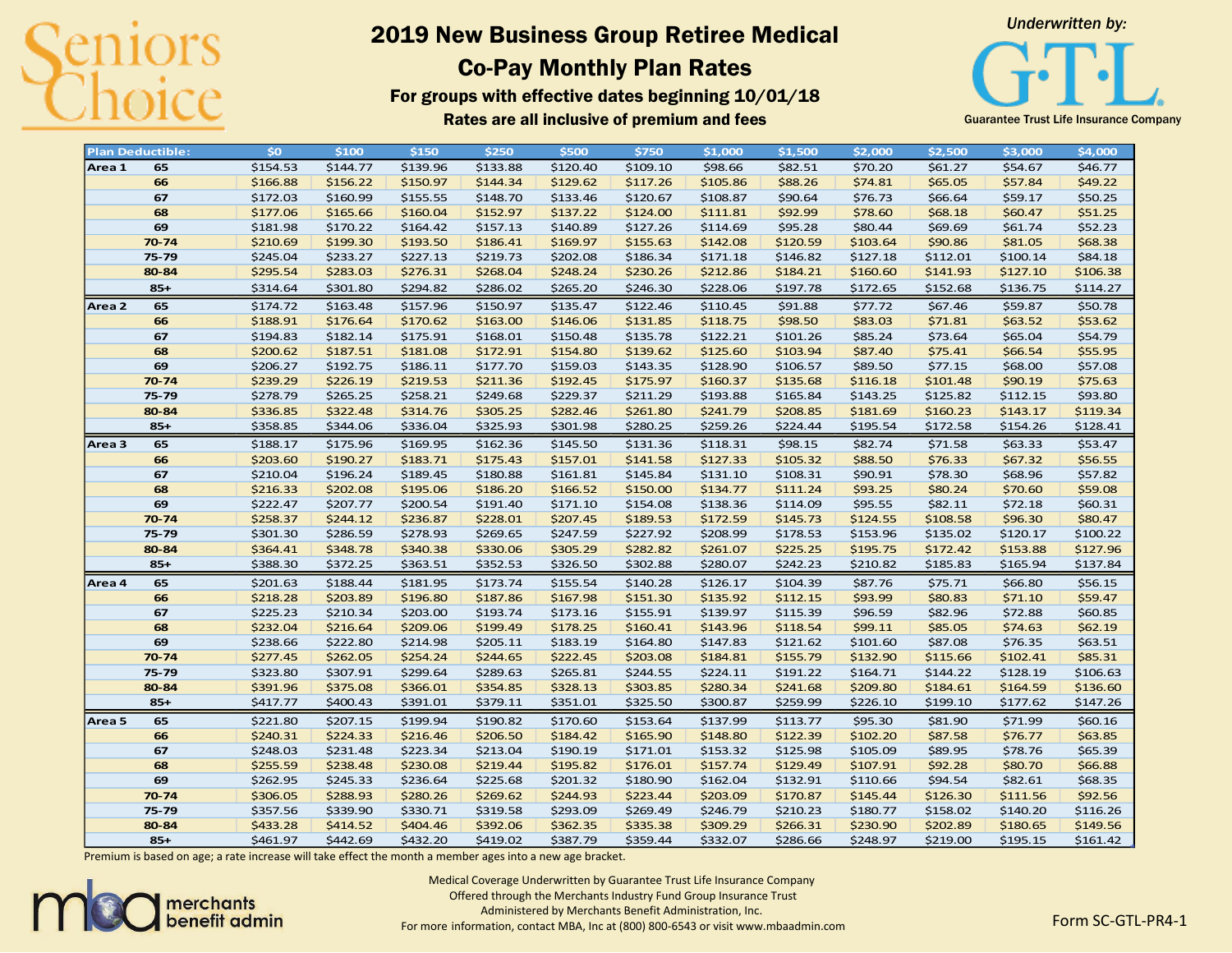

# 2019 New Business Group Retiree Medical Co-Pay Monthly Plan Rates

For groups with effective dates beginning 10/01/18 Rates are all inclusive of premium and fees **Buarantee Trust Life Insurance Company** 



|                   | <b>Plan Deductible:</b> | \$o      | \$100    | \$150    | \$250    | \$500    | \$750    | \$1,000  | \$1,500  | \$2,000  | \$2,500  | \$3,000  | \$4,000  |
|-------------------|-------------------------|----------|----------|----------|----------|----------|----------|----------|----------|----------|----------|----------|----------|
| Area 1            | 65                      | \$154.53 | \$144.77 | \$139.96 | \$133.88 | \$120.40 | \$109.10 | \$98.66  | \$82.51  | \$70.20  | \$61.27  | \$54.67  | \$46.77  |
|                   | 66                      | \$166.88 | \$156.22 | \$150.97 | \$144.34 | \$129.62 | \$117.26 | \$105.86 | \$88.26  | \$74.81  | \$65.05  | \$57.84  | \$49.22  |
|                   | 67                      | \$172.03 | \$160.99 | \$155.55 | \$148.70 | \$133.46 | \$120.67 | \$108.87 | \$90.64  | \$76.73  | \$66.64  | \$59.17  | \$50.25  |
|                   | 68                      | \$177.06 | \$165.66 | \$160.04 | \$152.97 | \$137.22 | \$124.00 | \$111.81 | \$92.99  | \$78.60  | \$68.18  | \$60.47  | \$51.25  |
|                   | 69                      | \$181.98 | \$170.22 | \$164.42 | \$157.13 | \$140.89 | \$127.26 | \$114.69 | \$95.28  | \$80.44  | \$69.69  | \$61.74  | \$52.23  |
|                   | $70 - 74$               | \$210.69 | \$199.30 | \$193.50 | \$186.41 | \$169.97 | \$155.63 | \$142.08 | \$120.59 | \$103.64 | \$90.86  | \$81.05  | \$68.38  |
|                   | 75-79                   | \$245.04 | \$233.27 | \$227.13 | \$219.73 | \$202.08 | \$186.34 | \$171.18 | \$146.82 | \$127.18 | \$112.01 | \$100.14 | \$84.18  |
|                   | 80-84                   | \$295.54 | \$283.03 | \$276.31 | \$268.04 | \$248.24 | \$230.26 | \$212.86 | \$184.21 | \$160.60 | \$141.93 | \$127.10 | \$106.38 |
|                   | $85+$                   | \$314.64 | \$301.80 | \$294.82 | \$286.02 | \$265.20 | \$246.30 | \$228.06 | \$197.78 | \$172.65 | \$152.68 | \$136.75 | \$114.27 |
| Area 2            | 65                      | \$174.72 | \$163.48 | \$157.96 | \$150.97 | \$135.47 | \$122.46 | \$110.45 | \$91.88  | \$77.72  | \$67.46  | \$59.87  | \$50.78  |
|                   | 66                      | \$188.91 | \$176.64 | \$170.62 | \$163.00 | \$146.06 | \$131.85 | \$118.75 | \$98.50  | \$83.03  | \$71.81  | \$63.52  | \$53.62  |
|                   | 67                      | \$194.83 | \$182.14 | \$175.91 | \$168.01 | \$150.48 | \$135.78 | \$122.21 | \$101.26 | \$85.24  | \$73.64  | \$65.04  | \$54.79  |
|                   | 68                      | \$200.62 | \$187.51 | \$181.08 | \$172.91 | \$154.80 | \$139.62 | \$125.60 | \$103.94 | \$87.40  | \$75.41  | \$66.54  | \$55.95  |
|                   | 69                      | \$206.27 | \$192.75 | \$186.11 | \$177.70 | \$159.03 | \$143.35 | \$128.90 | \$106.57 | \$89.50  | \$77.15  | \$68.00  | \$57.08  |
|                   | 70-74                   | \$239.29 | \$226.19 | \$219.53 | \$211.36 | \$192.45 | \$175.97 | \$160.37 | \$135.68 | \$116.18 | \$101.48 | \$90.19  | \$75.63  |
|                   | 75-79                   | \$278.79 | \$265.25 | \$258.21 | \$249.68 | \$229.37 | \$211.29 | \$193.88 | \$165.84 | \$143.25 | \$125.82 | \$112.15 | \$93.80  |
|                   | 80-84                   | \$336.85 | \$322.48 | \$314.76 | \$305.25 | \$282.46 | \$261.80 | \$241.79 | \$208.85 | \$181.69 | \$160.23 | \$143.17 | \$119.34 |
|                   | $85+$                   | \$358.85 | \$344.06 | \$336.04 | \$325.93 | \$301.98 | \$280.25 | \$259.26 | \$224.44 | \$195.54 | \$172.58 | \$154.26 | \$128.41 |
|                   |                         |          |          |          |          |          |          |          |          |          |          |          |          |
| Area <sub>3</sub> | 65                      | \$188.17 | \$175.96 | \$169.95 | \$162.36 | \$145.50 | \$131.36 | \$118.31 | \$98.15  | \$82.74  | \$71.58  | \$63.33  | \$53.47  |
|                   | 66                      | \$203.60 | \$190.27 | \$183.71 | \$175.43 | \$157.01 | \$141.58 | \$127.33 | \$105.32 | \$88.50  | \$76.33  | \$67.32  | \$56.55  |
|                   | 67                      | \$210.04 | \$196.24 | \$189.45 | \$180.88 | \$161.81 | \$145.84 | \$131.10 | \$108.31 | \$90.91  | \$78.30  | \$68.96  | \$57.82  |
|                   | 68                      | \$216.33 | \$202.08 | \$195.06 | \$186.20 | \$166.52 | \$150.00 | \$134.77 | \$111.24 | \$93.25  | \$80.24  | \$70.60  | \$59.08  |
|                   | 69                      | \$222.47 | \$207.77 | \$200.54 | \$191.40 | \$171.10 | \$154.08 | \$138.36 | \$114.09 | \$95.55  | \$82.11  | \$72.18  | \$60.31  |
|                   | 70-74                   | \$258.37 | \$244.12 | \$236.87 | \$228.01 | \$207.45 | \$189.53 | \$172.59 | \$145.73 | \$124.55 | \$108.58 | \$96.30  | \$80.47  |
|                   | 75-79                   | \$301.30 | \$286.59 | \$278.93 | \$269.65 | \$247.59 | \$227.92 | \$208.99 | \$178.53 | \$153.96 | \$135.02 | \$120.17 | \$100.22 |
|                   | 80-84                   | \$364.41 | \$348.78 | \$340.38 | \$330.06 | \$305.29 | \$282.82 | \$261.07 | \$225.25 | \$195.75 | \$172.42 | \$153.88 | \$127.96 |
|                   | $85+$                   | \$388.30 | \$372.25 | \$363.51 | \$352.53 | \$326.50 | \$302.88 | \$280.07 | \$242.23 | \$210.82 | \$185.83 | \$165.94 | \$137.84 |
| Area 4            | 65                      | \$201.63 | \$188.44 | \$181.95 | \$173.74 | \$155.54 | \$140.28 | \$126.17 | \$104.39 | \$87.76  | \$75.71  | \$66.80  | \$56.15  |
|                   | 66                      | \$218.28 | \$203.89 | \$196.80 | \$187.86 | \$167.98 | \$151.30 | \$135.92 | \$112.15 | \$93.99  | \$80.83  | \$71.10  | \$59.47  |
|                   | 67                      | \$225.23 | \$210.34 | \$203.00 | \$193.74 | \$173.16 | \$155.91 | \$139.97 | \$115.39 | \$96.59  | \$82.96  | \$72.88  | \$60.85  |
|                   | 68                      | \$232.04 | \$216.64 | \$209.06 | \$199.49 | \$178.25 | \$160.41 | \$143.96 | \$118.54 | \$99.11  | \$85.05  | \$74.63  | \$62.19  |
|                   | 69                      | \$238.66 | \$222.80 | \$214.98 | \$205.11 | \$183.19 | \$164.80 | \$147.83 | \$121.62 | \$101.60 | \$87.08  | \$76.35  | \$63.51  |
|                   | $70 - 74$               | \$277.45 | \$262.05 | \$254.24 | \$244.65 | \$222.45 | \$203.08 | \$184.81 | \$155.79 | \$132.90 | \$115.66 | \$102.41 | \$85.31  |
|                   | 75-79                   | \$323.80 | \$307.91 | \$299.64 | \$289.63 | \$265.81 | \$244.55 | \$224.11 | \$191.22 | \$164.71 | \$144.22 | \$128.19 | \$106.63 |
|                   | 80-84                   | \$391.96 | \$375.08 | \$366.01 | \$354.85 | \$328.13 | \$303.85 | \$280.34 | \$241.68 | \$209.80 | \$184.61 | \$164.59 | \$136.60 |
|                   | $85+$                   | \$417.77 | \$400.43 | \$391.01 | \$379.11 | \$351.01 | \$325.50 | \$300.87 | \$259.99 | \$226.10 | \$199.10 | \$177.62 | \$147.26 |
| Area <sub>5</sub> | 65                      | \$221.80 | \$207.15 | \$199.94 | \$190.82 | \$170.60 | \$153.64 | \$137.99 | \$113.77 | \$95.30  | \$81.90  | \$71.99  | \$60.16  |
|                   | 66                      | \$240.31 | \$224.33 | \$216.46 | \$206.50 | \$184.42 | \$165.90 | \$148.80 | \$122.39 | \$102.20 | \$87.58  | \$76.77  | \$63.85  |
|                   | 67                      | \$248.03 | \$231.48 | \$223.34 | \$213.04 | \$190.19 | \$171.01 | \$153.32 | \$125.98 | \$105.09 | \$89.95  | \$78.76  | \$65.39  |
|                   | 68                      | \$255.59 | \$238.48 | \$230.08 | \$219.44 | \$195.82 | \$176.01 | \$157.74 | \$129.49 | \$107.91 | \$92.28  | \$80.70  | \$66.88  |
|                   | 69                      | \$262.95 | \$245.33 | \$236.64 | \$225.68 | \$201.32 | \$180.90 | \$162.04 | \$132.91 | \$110.66 | \$94.54  | \$82.61  | \$68.35  |
|                   | 70-74                   | \$306.05 | \$288.93 | \$280.26 | \$269.62 | \$244.93 | \$223.44 | \$203.09 | \$170.87 | \$145.44 | \$126.30 | \$111.56 | \$92.56  |
|                   | 75-79                   | \$357.56 | \$339.90 | \$330.71 | \$319.58 | \$293.09 | \$269.49 | \$246.79 | \$210.23 | \$180.77 | \$158.02 | \$140.20 | \$116.26 |
|                   | 80-84                   | \$433.28 | \$414.52 | \$404.46 | \$392.06 | \$362.35 | \$335.38 | \$309.29 | \$266.31 | \$230.90 | \$202.89 | \$180.65 | \$149.56 |
|                   | $85+$                   | \$461.97 | \$442.69 | \$432.20 | \$419.02 | \$387.79 | \$359.44 | \$332.07 | \$286.66 | \$248.97 | \$219.00 | \$195.15 | \$161.42 |
|                   |                         |          |          |          |          |          |          |          |          |          |          |          |          |

Premium is based on age; a rate increase will take effect the month a member ages into a new age bracket.